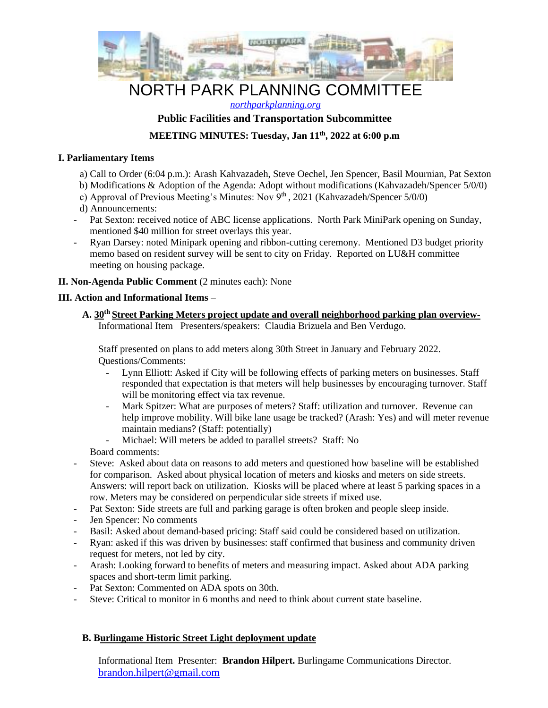

# NORTH PARK PLANNING COMMITTEE

*northparkplanning.org*

## **Public Facilities and Transportation Subcommittee**

## **MEETING MINUTES: Tuesday, Jan 11th, 2022 at 6:00 p.m**

#### **I. Parliamentary Items**

- a) Call to Order (6:04 p.m.): Arash Kahvazadeh, Steve Oechel, Jen Spencer, Basil Mournian, Pat Sexton
- b) Modifications & Adoption of the Agenda: Adopt without modifications (Kahvazadeh/Spencer 5/0/0)
- c) Approval of Previous Meeting's Minutes: Nov  $9<sup>th</sup>$ , 2021 (Kahvazadeh/Spencer 5/0/0)
- d) Announcements:
- Pat Sexton: received notice of ABC license applications. North Park MiniPark opening on Sunday, mentioned \$40 million for street overlays this year.
- Ryan Darsey: noted Minipark opening and ribbon-cutting ceremony. Mentioned D3 budget priority memo based on resident survey will be sent to city on Friday. Reported on LU&H committee meeting on housing package.

#### **II. Non-Agenda Public Comment** (2 minutes each): None

## **III. Action and Informational Items** –

**A. 30th Street Parking Meters project update and overall neighborhood parking plan overview-**Informational Item Presenters/speakers: Claudia Brizuela and Ben Verdugo.

Staff presented on plans to add meters along 30th Street in January and February 2022. Questions/Comments:

- Lynn Elliott: Asked if City will be following effects of parking meters on businesses. Staff responded that expectation is that meters will help businesses by encouraging turnover. Staff will be monitoring effect via tax revenue.
- Mark Spitzer: What are purposes of meters? Staff: utilization and turnover. Revenue can help improve mobility. Will bike lane usage be tracked? (Arash: Yes) and will meter revenue maintain medians? (Staff: potentially)
- Michael: Will meters be added to parallel streets? Staff: No

Board comments:

- Steve: Asked about data on reasons to add meters and questioned how baseline will be established for comparison. Asked about physical location of meters and kiosks and meters on side streets. Answers: will report back on utilization. Kiosks will be placed where at least 5 parking spaces in a row. Meters may be considered on perpendicular side streets if mixed use.
- Pat Sexton: Side streets are full and parking garage is often broken and people sleep inside.
- Jen Spencer: No comments
- Basil: Asked about demand-based pricing: Staff said could be considered based on utilization.
- Ryan: asked if this was driven by businesses: staff confirmed that business and community driven request for meters, not led by city.
- Arash: Looking forward to benefits of meters and measuring impact. Asked about ADA parking spaces and short-term limit parking.
- Pat Sexton: Commented on ADA spots on 30th.
- Steve: Critical to monitor in 6 months and need to think about current state baseline.

## **B. Burlingame Historic Street Light deployment update**

Informational Item Presenter: **Brandon Hilpert.** Burlingame Communications Director. brandon.hilpert@gmail.com